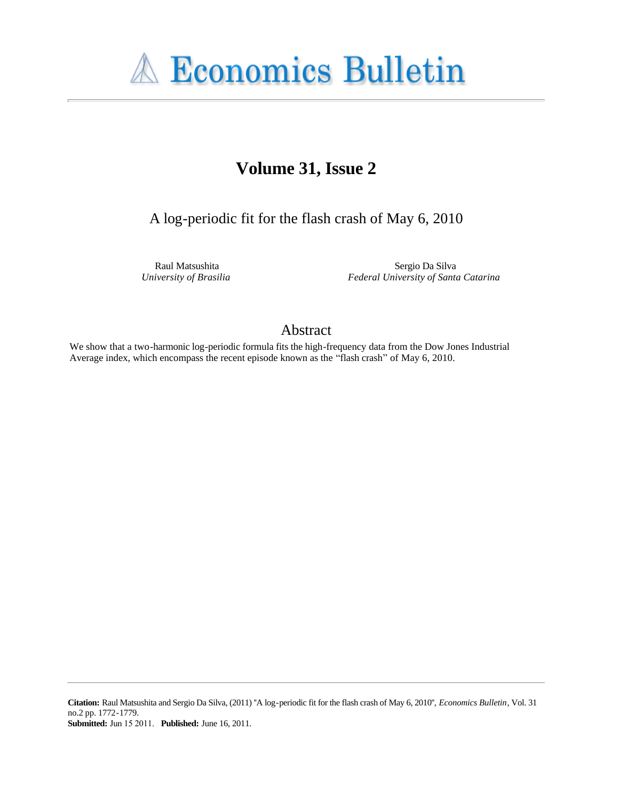

# Volume 31, Issue 2

A log-periodic fit for the flash crash of May 6, 2010

Raul Matsushita University of Brasilia

Sergio Da Silva Federal University of Santa Catarina

# Abstract

We show that a two-harmonic log-periodic formula fits the high-frequency data from the Dow Jones Industrial Average index, which encompass the recent episode known as the "flash crash" of May 6, 2010.

Citation: Raul Matsushita and Sergio Da Silva, (2011) "A log-periodic fit for the flash crash of May 6, 2010", Economics Bulletin, Vol. 31 no.2 pp. 1772-1779. **Submitted:** Jun 15 2011. Published: June 16, 2011.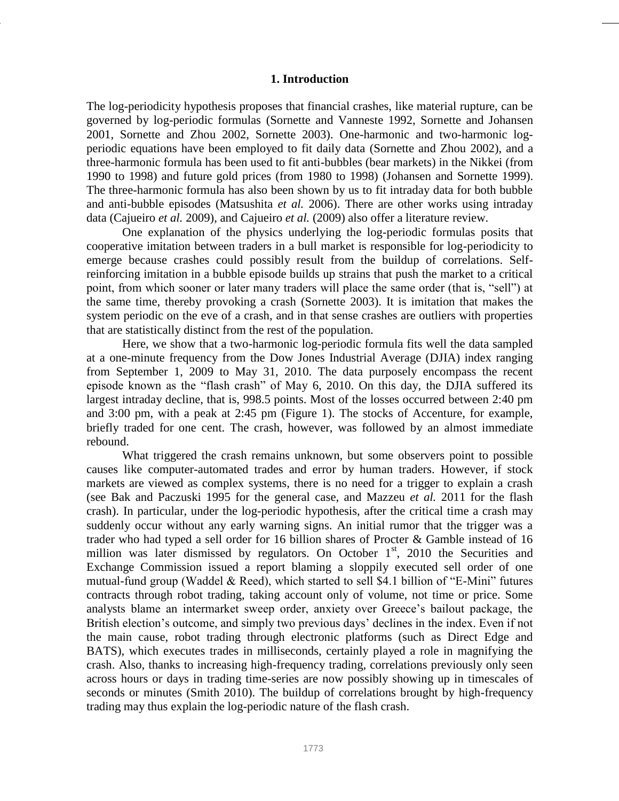### **1. Introduction**

The log-periodicity hypothesis proposes that financial crashes, like material rupture, can be governed by log-periodic formulas (Sornette and Vanneste 1992, Sornette and Johansen 2001, Sornette and Zhou 2002, Sornette 2003). One-harmonic and two-harmonic logperiodic equations have been employed to fit daily data (Sornette and Zhou 2002), and a three-harmonic formula has been used to fit anti-bubbles (bear markets) in the Nikkei (from 1990 to 1998) and future gold prices (from 1980 to 1998) (Johansen and Sornette 1999). The three-harmonic formula has also been shown by us to fit intraday data for both bubble and anti-bubble episodes (Matsushita *et al.* 2006). There are other works using intraday data (Cajueiro *et al.* 2009), and Cajueiro *et al.* (2009) also offer a literature review.

One explanation of the physics underlying the log-periodic formulas posits that cooperative imitation between traders in a bull market is responsible for log-periodicity to emerge because crashes could possibly result from the buildup of correlations. Selfreinforcing imitation in a bubble episode builds up strains that push the market to a critical point, from which sooner or later many traders will place the same order (that is, "sell") at the same time, thereby provoking a crash (Sornette 2003). It is imitation that makes the system periodic on the eve of a crash, and in that sense crashes are outliers with properties that are statistically distinct from the rest of the population.

Here, we show that a two-harmonic log-periodic formula fits well the data sampled at a one-minute frequency from the Dow Jones Industrial Average (DJIA) index ranging from September 1, 2009 to May 31, 2010. The data purposely encompass the recent episode known as the "flash crash" of May 6, 2010. On this day, the DJIA suffered its largest intraday decline, that is, 998.5 points. Most of the losses occurred between 2:40 pm and 3:00 pm, with a peak at 2:45 pm (Figure 1). The stocks of Accenture, for example, briefly traded for one cent. The crash, however, was followed by an almost immediate rebound.

What triggered the crash remains unknown, but some observers point to possible causes like computer-automated trades and error by human traders. However, if stock markets are viewed as complex systems, there is no need for a trigger to explain a crash (see Bak and Paczuski 1995 for the general case, and Mazzeu *et al.* 2011 for the flash crash). In particular, under the log-periodic hypothesis, after the critical time a crash may suddenly occur without any early warning signs. An initial rumor that the trigger was a trader who had typed a sell order for 16 billion shares of Procter & Gamble instead of 16 million was later dismissed by regulators. On October  $1<sup>st</sup>$ , 2010 the Securities and Exchange Commission issued a report blaming a sloppily executed sell order of one mutual-fund group (Waddel & Reed), which started to sell \$4.1 billion of "E-Mini" futures contracts through robot trading, taking account only of volume, not time or price. Some analysts blame an intermarket sweep order, anxiety over Greece"s bailout package, the British election's outcome, and simply two previous days' declines in the index. Even if not the main cause, robot trading through electronic platforms (such as Direct Edge and BATS), which executes trades in milliseconds, certainly played a role in magnifying the crash. Also, thanks to increasing high-frequency trading, correlations previously only seen across hours or days in trading time-series are now possibly showing up in timescales of seconds or minutes (Smith 2010). The buildup of correlations brought by high-frequency trading may thus explain the log-periodic nature of the flash crash.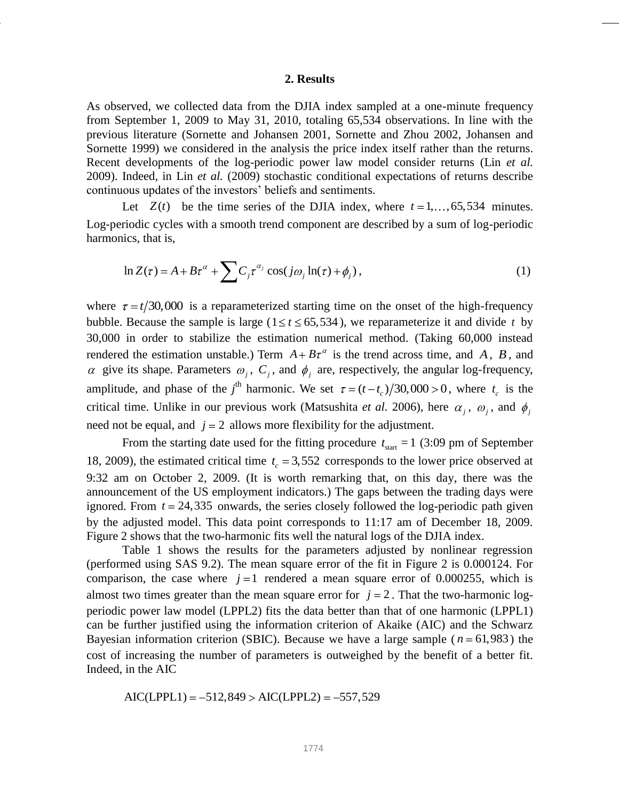#### **2. Results**

As observed, we collected data from the DJIA index sampled at a one-minute frequency from September 1, 2009 to May 31, 2010, totaling 65,534 observations. In line with the previous literature (Sornette and Johansen 2001, Sornette and Zhou 2002, Johansen and Sornette 1999) we considered in the analysis the price index itself rather than the returns. Recent developments of the log-periodic power law model consider returns (Lin *et al.* 2009). Indeed, in Lin *et al.* (2009) stochastic conditional expectations of returns describe continuous updates of the investors" beliefs and sentiments.

Let  $Z(t)$  be the time series of the DJIA index, where  $t = 1, \ldots, 65, 534$  minutes. Log-periodic cycles with a smooth trend component are described by a sum of log-periodic harmonics, that is,

$$
\ln Z(\tau) = A + B\tau^{\alpha} + \sum C_j \tau^{\alpha_j} \cos(j\omega_j \ln(\tau) + \phi_j), \tag{1}
$$

where  $\tau = t/30,000$  is a reparameterized starting time on the onset of the high-frequency bubble. Because the sample is large ( $1 \le t \le 65,534$ ), we reparameterize it and divide t by 30,000 in order to stabilize the estimation numerical method. (Taking 60,000 instead rendered the estimation unstable.) Term  $A + B\tau^{\alpha}$  is the trend across time, and A, B, and give its shape. Parameters  $\omega_j$ ,  $C_j$ , and  $\phi_j$  are, respectively, the angular log-frequency, amplitude, and phase of the *j*<sup>th</sup> harmonic. We set  $\tau = (t - t_c)/30,000 > 0$ , where  $t_c$  is the critical time. Unlike in our previous work (Matsushita *et al.* 2006), here  $\alpha_j$ ,  $\omega_j$ , and  $\phi_j$ need not be equal, and  $j = 2$  allows more flexibility for the adjustment.

From the starting date used for the fitting procedure  $t_{\text{start}} = 1$  (3:09 pm of September 18, 2009), the estimated critical time  $t_c = 3,552$  corresponds to the lower price observed at 9:32 am on October 2, 2009. (It is worth remarking that, on this day, there was the announcement of the US employment indicators.) The gaps between the trading days were ignored. From  $t = 24,335$  onwards, the series closely followed the log-periodic path given by the adjusted model. This data point corresponds to 11:17 am of December 18, 2009. Figure 2 shows that the two-harmonic fits well the natural logs of the DJIA index.

Table 1 shows the results for the parameters adjusted by nonlinear regression (performed using SAS 9.2). The mean square error of the fit in Figure 2 is 0.000124. For comparison, the case where  $j=1$  rendered a mean square error of 0.000255, which is almost two times greater than the mean square error for  $j = 2$ . That the two-harmonic logperiodic power law model (LPPL2) fits the data better than that of one harmonic (LPPL1) can be further justified using the information criterion of Akaike (AIC) and the Schwarz Bayesian information criterion (SBIC). Because we have a large sample ( $n = 61,983$ ) the cost of increasing the number of parameters is outweighed by the benefit of a better fit. Indeed, in the AIC

in the AIC  
AIC(LPPL1) = 
$$
-512,849 > AIC(LPPL2) = -557,529
$$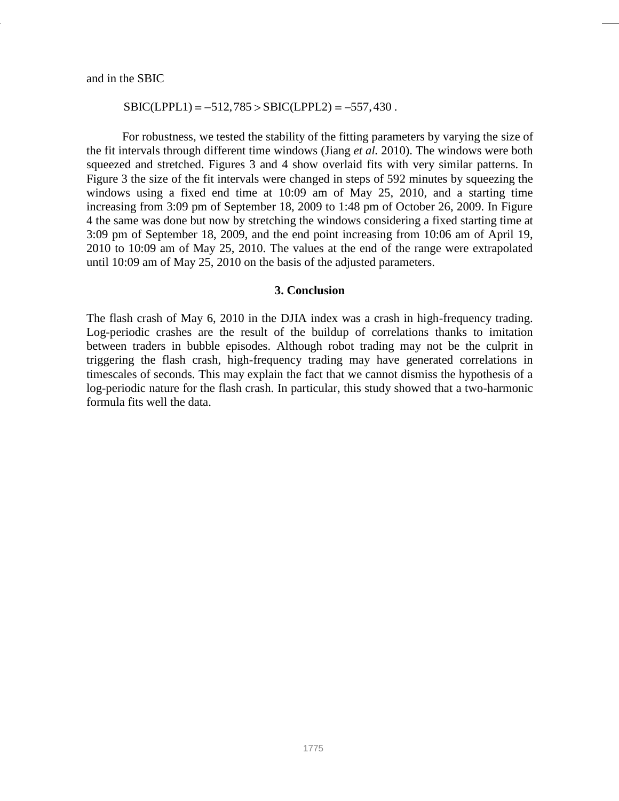and in the SBIC

#### $SBIC(LPPL1) = -512,785 > SBIC(LPPL2) = -557,430$ .

For robustness, we tested the stability of the fitting parameters by varying the size of the fit intervals through different time windows (Jiang *et al.* 2010). The windows were both squeezed and stretched. Figures 3 and 4 show overlaid fits with very similar patterns. In Figure 3 the size of the fit intervals were changed in steps of 592 minutes by squeezing the windows using a fixed end time at 10:09 am of May 25, 2010, and a starting time increasing from 3:09 pm of September 18, 2009 to 1:48 pm of October 26, 2009. In Figure 4 the same was done but now by stretching the windows considering a fixed starting time at 3:09 pm of September 18, 2009, and the end point increasing from 10:06 am of April 19, 2010 to 10:09 am of May 25, 2010. The values at the end of the range were extrapolated until 10:09 am of May 25, 2010 on the basis of the adjusted parameters.

## **3. Conclusion**

The flash crash of May 6, 2010 in the DJIA index was a crash in high-frequency trading. Log-periodic crashes are the result of the buildup of correlations thanks to imitation between traders in bubble episodes. Although robot trading may not be the culprit in triggering the flash crash, high-frequency trading may have generated correlations in timescales of seconds. This may explain the fact that we cannot dismiss the hypothesis of a log-periodic nature for the flash crash. In particular, this study showed that a two-harmonic formula fits well the data.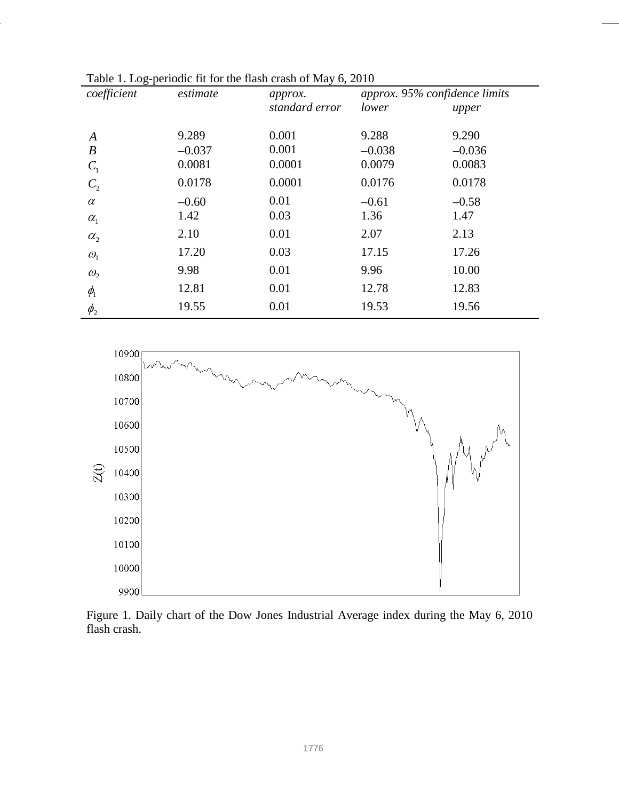| $\cdot$ $\sim$ $\cdot$ $\sim$ $\cdot$<br>coefficient | *** *** *** ******** ******* ** ***<br>estimate | approx.        | approx. 95% confidence limits |          |
|------------------------------------------------------|-------------------------------------------------|----------------|-------------------------------|----------|
|                                                      |                                                 | standard error | lower                         | upper    |
|                                                      |                                                 |                |                               |          |
| $\boldsymbol{A}$                                     | 9.289                                           | 0.001          | 9.288                         | 9.290    |
| $\boldsymbol{B}$                                     | $-0.037$                                        | 0.001          | $-0.038$                      | $-0.036$ |
| $C_{1}$                                              | 0.0081                                          | 0.0001         | 0.0079                        | 0.0083   |
| C <sub>2</sub>                                       | 0.0178                                          | 0.0001         | 0.0176                        | 0.0178   |
| $\alpha$                                             | $-0.60$                                         | 0.01           | $-0.61$                       | $-0.58$  |
| $\alpha_{1}$                                         | 1.42                                            | 0.03           | 1.36                          | 1.47     |
| $\alpha_{2}$                                         | 2.10                                            | 0.01           | 2.07                          | 2.13     |
| $\omega_{1}$                                         | 17.20                                           | 0.03           | 17.15                         | 17.26    |
| $\omega_{2}$                                         | 9.98                                            | 0.01           | 9.96                          | 10.00    |
| $\phi$ <sub>1</sub>                                  | 12.81                                           | 0.01           | 12.78                         | 12.83    |
| $\phi_{2}$                                           | 19.55                                           | 0.01           | 19.53                         | 19.56    |



Figure 1. Daily chart of the Dow Jones Industrial Average index during the May 6, 2010 flash crash.

10300

10200

10100

10000

9900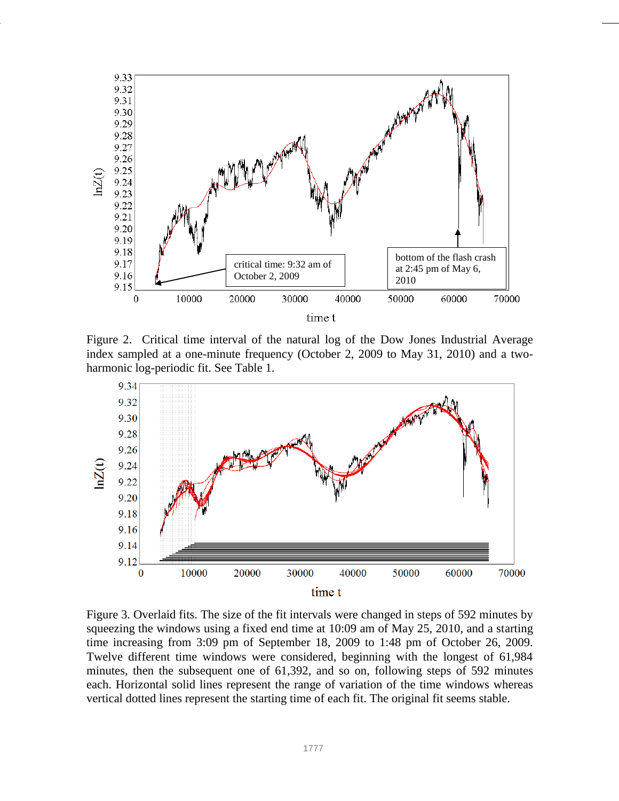

Figure 2. Critical time interval of the natural log of the Dow Jones Industrial Average index sampled at a one-minute frequency (October 2, 2009 to May 31, 2010) and a twoharmonic log-periodic fit. See Table 1.



Figure 3. Overlaid fits. The size of the fit intervals were changed in steps of 592 minutes by squeezing the windows using a fixed end time at 10:09 am of May 25, 2010, and a starting time increasing from 3:09 pm of September 18, 2009 to 1:48 pm of October 26, 2009. Twelve different time windows were considered, beginning with the longest of 61,984 minutes, then the subsequent one of 61,392, and so on, following steps of 592 minutes each. Horizontal solid lines represent the range of variation of the time windows whereas vertical dotted lines represent the starting time of each fit. The original fit seems stable.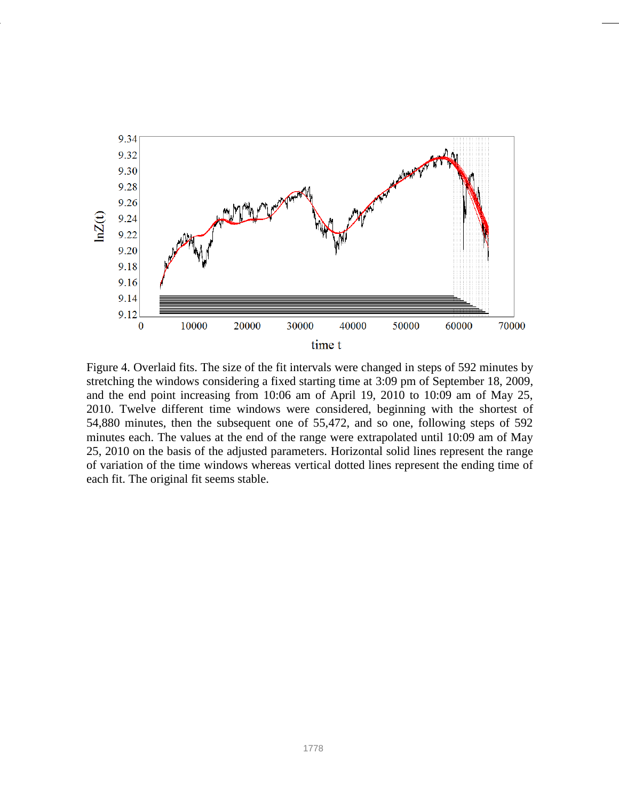

Figure 4. Overlaid fits. The size of the fit intervals were changed in steps of 592 minutes by stretching the windows considering a fixed starting time at 3:09 pm of September 18, 2009, and the end point increasing from 10:06 am of April 19, 2010 to 10:09 am of May 25, 2010. Twelve different time windows were considered, beginning with the shortest of 54,880 minutes, then the subsequent one of 55,472, and so one, following steps of 592 minutes each. The values at the end of the range were extrapolated until 10:09 am of May 25, 2010 on the basis of the adjusted parameters. Horizontal solid lines represent the range of variation of the time windows whereas vertical dotted lines represent the ending time of each fit. The original fit seems stable.